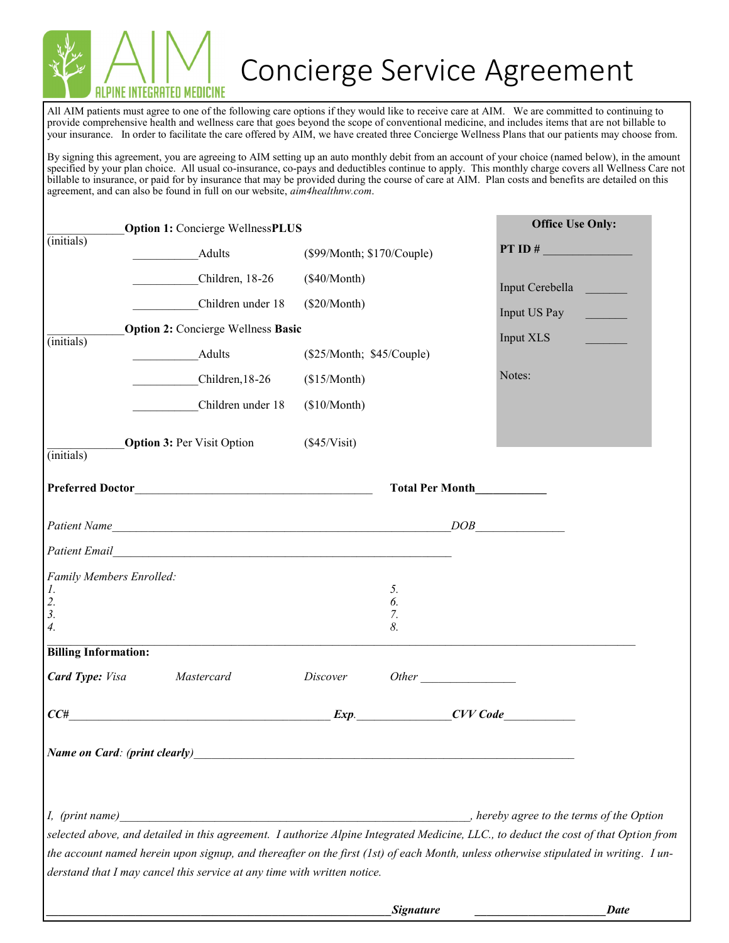

## Concierge Service Agreement

All AIM patients must agree to one of the following care options if they would like to receive care at AIM. We are committed to continuing to provide comprehensive health and wellness care that goes beyond the scope of conventional medicine, and includes items that are not billable to your insurance. In order to facilitate the care offered by AIM, we have created three Concierge Wellness Plans that our patients may choose from.

By signing this agreement, you are agreeing to AIM setting up an auto monthly debit from an account of your choice (named below), in the amount specified by your plan choice. All usual co-insurance, co-pays and deductibles continue to apply. This monthly charge covers all Wellness Care not billable to insurance, or paid for by insurance that may be provided during the course of care at AIM. Plan costs and benefits are detailed on this agreement, and can also be found in full on our website, *aim4healthnw.com*.

|                                                               | <b>Option 1: Concierge WellnessPLUS</b>                                                                                                                                                                                        |                            |                      |  | <b>Office Use Only:</b>                   |
|---------------------------------------------------------------|--------------------------------------------------------------------------------------------------------------------------------------------------------------------------------------------------------------------------------|----------------------------|----------------------|--|-------------------------------------------|
| $(i$ nitials)                                                 | Adults                                                                                                                                                                                                                         | (\$99/Month; \$170/Couple) |                      |  | PT ID $#$                                 |
|                                                               | Children, 18-26                                                                                                                                                                                                                | (\$40/Month)               |                      |  |                                           |
|                                                               | Children under 18                                                                                                                                                                                                              | $(\$20/Month)$             |                      |  | Input Cerebella                           |
|                                                               | <b>Option 2: Concierge Wellness Basic</b>                                                                                                                                                                                      |                            |                      |  | Input US Pay                              |
| $(i$ nitials)                                                 | Adults                                                                                                                                                                                                                         | (\$25/Month; \$45/Couple)  |                      |  | Input XLS                                 |
|                                                               | Children, 18-26                                                                                                                                                                                                                | (\$15/Month)               |                      |  | Notes:                                    |
|                                                               | Children under 18                                                                                                                                                                                                              | (\$10/Month)               |                      |  |                                           |
| $(i$ nitials)                                                 | <b>Option 3: Per Visit Option</b>                                                                                                                                                                                              | (\$45/Visit)               |                      |  |                                           |
|                                                               |                                                                                                                                                                                                                                | Total Per Month            |                      |  |                                           |
|                                                               |                                                                                                                                                                                                                                |                            |                      |  |                                           |
|                                                               | Patient Email Patient Communication of the Communication of the Communication of the Communication of the Communication of the Communication of the Communication of the Communication of the Communication of the Communicati |                            |                      |  |                                           |
| 1.<br>$\overline{2}$ .<br>$\overline{3}$ .<br>$\mathcal{A}$ . | Family Members Enrolled:                                                                                                                                                                                                       |                            | 5.<br>6.<br>7.<br>8. |  |                                           |
| <b>Billing Information:</b>                                   |                                                                                                                                                                                                                                |                            |                      |  |                                           |
| <b>Card Type: Visa</b>                                        | Mastercard                                                                                                                                                                                                                     | Discover                   |                      |  |                                           |
| CC#                                                           |                                                                                                                                                                                                                                |                            |                      |  | Exp. CVV Code                             |
|                                                               | Name on Card: (print clearly)                                                                                                                                                                                                  |                            |                      |  |                                           |
|                                                               |                                                                                                                                                                                                                                |                            |                      |  |                                           |
| I, (print name)                                               |                                                                                                                                                                                                                                |                            |                      |  | , hereby agree to the terms of the Option |
|                                                               | selected above, and detailed in this agreement. I authorize Alpine Integrated Medicine, LLC., to deduct the cost of that Option from                                                                                           |                            |                      |  |                                           |
|                                                               | the account named herein upon signup, and thereafter on the first (1st) of each Month, unless otherwise stipulated in writing. Iun-<br>derstand that I may cancel this service at any time with written notice.                |                            |                      |  |                                           |
|                                                               |                                                                                                                                                                                                                                |                            |                      |  |                                           |
|                                                               |                                                                                                                                                                                                                                |                            | <b>Signature</b>     |  | <b>Date</b>                               |